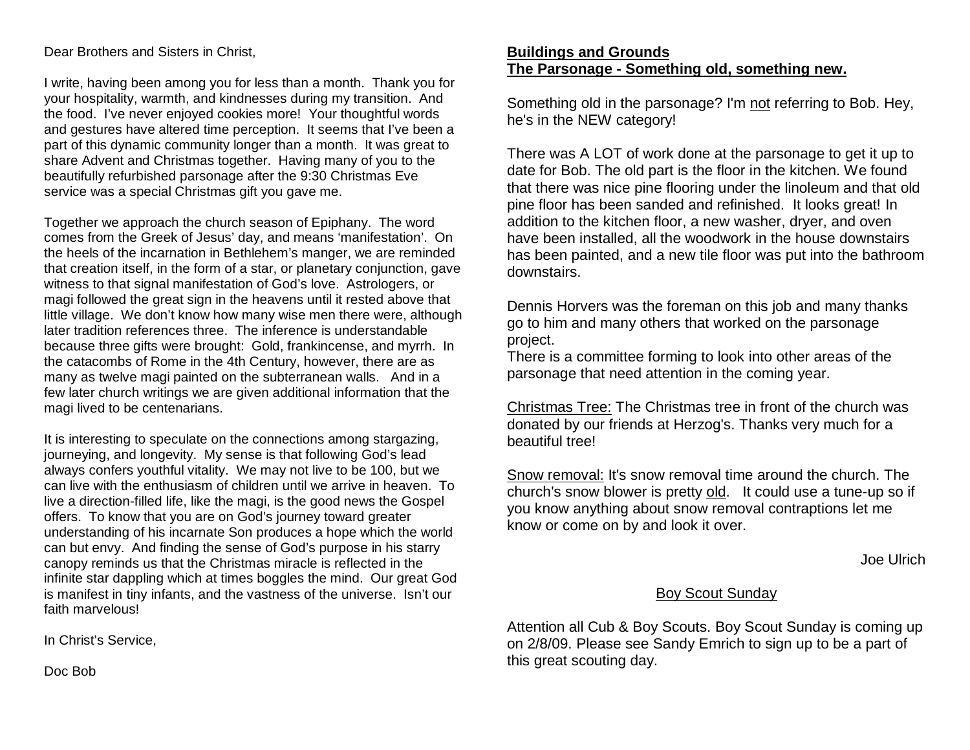Dear Brothers and Sisters in Christ,

I write, having been among you for less than a month. Thank you for your hospitality, warmth, and kindnesses during my transition. And the food. I've never enjoyed cookies more! Your thoughtful words and gestures have altered time perception. It seems that I've been a part of this dynamic community longer than a month. It was great to share Advent and Christmas together. Having many of you to the beautifully refurbished parsonage after the 9:30 Christmas Eve service was a special Christmas gift you gave me.

Together we approach the church season of Epiphany. The word comes from the Greek of Jesus' day, and means 'manifestation'. On the heels of the incarnation in Bethlehem's manger, we are reminded that creation itself, in the form of a star, or planetary conjunction, gave witness to that signal manifestation of God's love. Astrologers, or magi followed the great sign in the heavens until it rested above that little village. We don't know how many wise men there were, although later tradition references three. The inference is understandable because three gifts were brought: Gold, frankincense, and myrrh. In the catacombs of Rome in the 4th Century, however, there are as many as twelve magi painted on the subterranean walls. And in a few later church writings we are given additional information that the magi lived to be centenarians.

It is interesting to speculate on the connections among stargazing, journeying, and longevity. My sense is that following God's lead always confers youthful vitality. We may not live to be 100, but we can live with the enthusiasm of children until we arrive in heaven. To live a direction-filled life, like the magi, is the good news the Gospel offers. To know that you are on God's journey toward greater understanding of his incarnate Son produces a hope which the world can but envy. And finding the sense of God's purpose in his starry canopy reminds us that the Christmas miracle is reflected in the infinite star dappling which at times boggles the mind. Our great God is manifest in tiny infants, and the vastness of the universe. Isn't our faith marvelous!

In Christ's Service,

**Buildings and Grounds The Parsonage - Something old, something new.**

Something old in the parsonage? I'm not referring to Bob. Hey, he's in the NEW category!

There was A LOT of work done at the parsonage to get it up to date for Bob. The old part is the floor in the kitchen. We found that there was nice pine flooring under the linoleum and that old pine floor has been sanded and refinished. It looks great! In addition to the kitchen floor, a new washer, dryer, and oven have been installed, all the woodwork in the house downstairs has been painted, and a new tile floor was put into the bathroom downstairs.

Dennis Horvers was the foreman on this job and many thanks go to him and many others that worked on the parsonage project.

There is a committee forming to look into other areas of the parsonage that need attention in the coming year.

Christmas Tree: The Christmas tree in front of the church was donated by our friends at Herzog's. Thanks very much for a beautiful tree!

Snow removal: It's snow removal time around the church. The church's snow blower is pretty old. It could use a tune-up so if you know anything about snow removal contraptions let me know or come on by and look it over.

Joe Ulrich

### Boy Scout Sunday

Attention all Cub & Boy Scouts. Boy Scout Sunday is coming up on 2/8/09. Please see Sandy Emrich to sign up to be a part of this great scouting day.

Doc Bob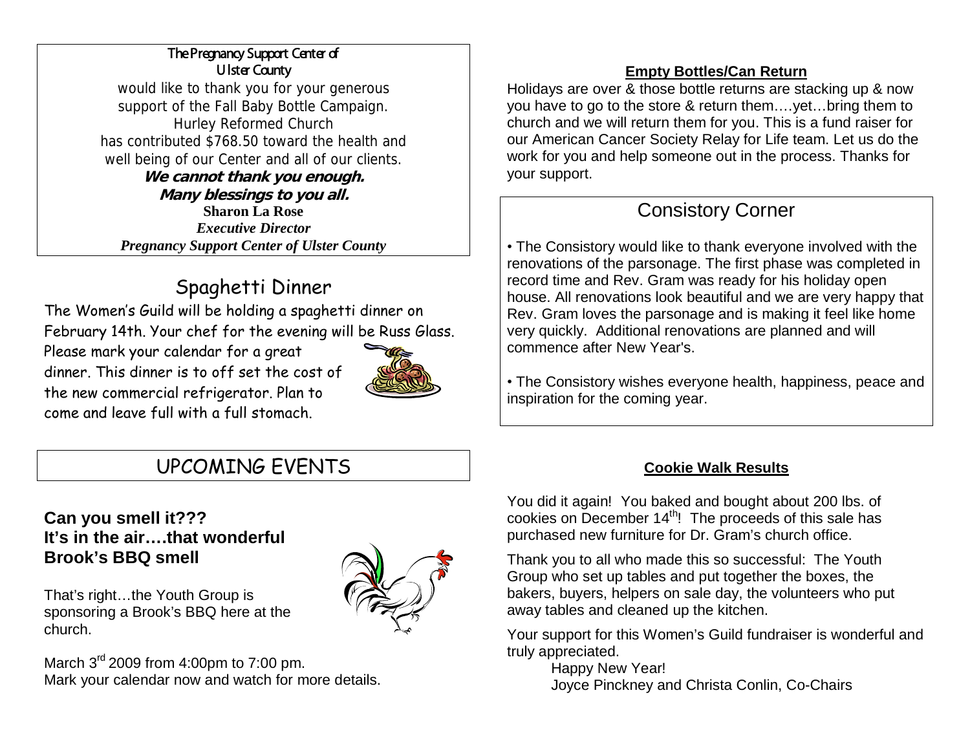### The Pregnancy Support Center of Ulster County

would like to thank you for your generous support of the Fall Baby Bottle Campaign. Hurley Reformed Church has contributed \$768.50 toward the health and well being of our Center and all of our clients. **We cannot thank you enough.**

**Many blessings to you all. Sharon La Rose** *Executive Director Pregnancy Support Center of Ulster County*

## Spaghetti Dinner

The Women's Guild will be holding a spaghetti dinner on February 14th. Your chef for the evening will be Russ Glass.

Please mark your calendar for a great dinner. This dinner is to off set the cost of the new commercial refrigerator. Plan to come and leave full with a full stomach.



### **Empty Bottles/Can Return**

Holidays are over & those bottle returns are stacking up & now you have to go to the store & return them….yet…bring them to church and we will return them for you. This is a fund raiser for our American Cancer Society Relay for Life team. Let us do the work for you and help someone out in the process. Thanks for your support.

### Consistory Corner

• The Consistory would like to thank everyone involved with the renovations of the parsonage. The first phase was completed in record time and Rev. Gram was ready for his holiday open house. All renovations look beautiful and we are very happy that Rev. Gram loves the parsonage and is making it feel like home very quickly. Additional renovations are planned and will commence after New Year's.

• The Consistory wishes everyone health, happiness, peace and inspiration for the coming year.

# UPCOMING EVENTS

### **Can you smell it??? It's in the air….that wonderful Brook's BBQ smell**

That's right…the Youth Group is sponsoring a Brook's BBQ here at the church.



March  $3^{rd}$  2009 from 4:00pm to 7:00 pm. Mark your calendar now and watch for more details.

### **Cookie Walk Results**

You did it again! You baked and bought about 200 lbs. of cookies on December 14<sup>th</sup>! The proceeds of this sale has purchased new furniture for Dr. Gram's church office.

Thank you to all who made this so successful: The Youth Group who set up tables and put together the boxes, the bakers, buyers, helpers on sale day, the volunteers who put away tables and cleaned up the kitchen.

Your support for this Women's Guild fundraiser is wonderful and truly appreciated.

Happy New Year! Joyce Pinckney and Christa Conlin, Co-Chairs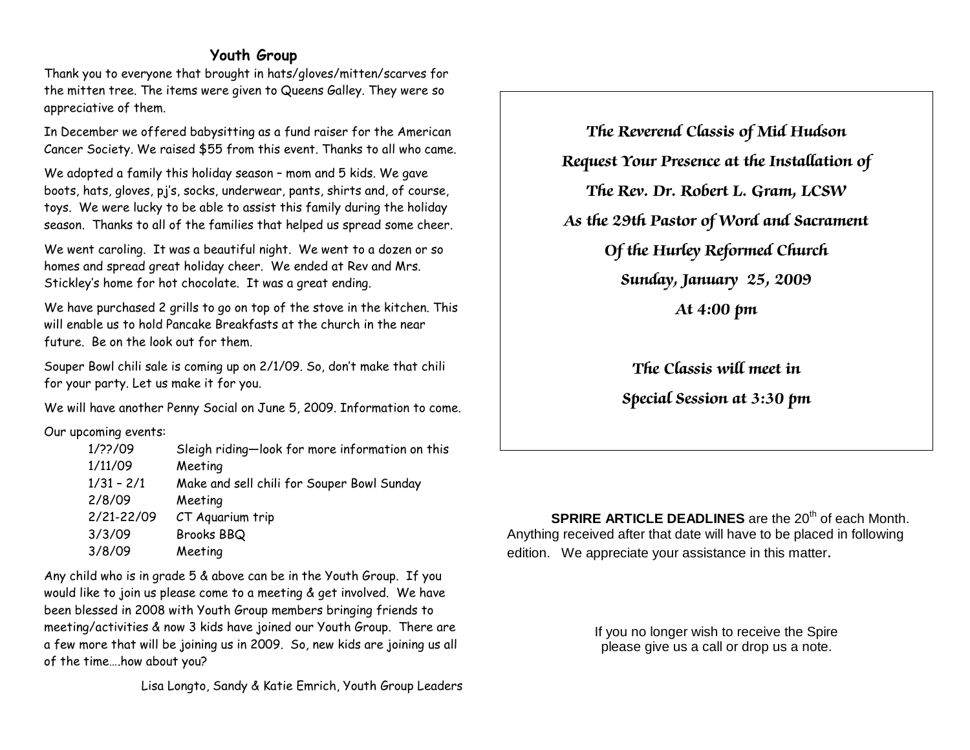#### **Youth Group**

Thank you to everyone that brought in hats/gloves/mitten/scarves for the mitten tree. The items were given to Queens Galley. They were so appreciative of them.

In December we offered babysitting as a fund raiser for the American Cancer Society. We raised \$55 from this event. Thanks to all who came.

We adopted a family this holiday season – mom and 5 kids. We gave boots, hats, gloves, pj's, socks, underwear, pants, shirts and, of course, toys. We were lucky to be able to assist this family during the holiday season. Thanks to all of the families that helped us spread some cheer.

We went caroling. It was a beautiful night. We went to a dozen or so homes and spread great holiday cheer. We ended at Rev and Mrs. Stickley's home for hot chocolate. It was a great ending.

We have purchased 2 grills to go on top of the stove in the kitchen. This will enable us to hold Pancake Breakfasts at the church in the near future. Be on the look out for them.

Souper Bowl chili sale is coming up on 2/1/09. So, don't make that chili for your party. Let us make it for you.

We will have another Penny Social on June 5, 2009. Information to come.

Our upcoming events:

| 1/22/09      | Sleigh riding-look for more information on this |
|--------------|-------------------------------------------------|
| 1/11/09      | Meeting                                         |
| $1/31 - 2/1$ | Make and sell chili for Souper Bowl Sunday      |
| 2/8/09       | Meeting                                         |
| 2/21-22/09   | CT Aquarium trip                                |
| 3/3/09       | Brooks BBQ                                      |
| 3/8/09       | Meeting                                         |
|              |                                                 |

Any child who is in grade 5 & above can be in the Youth Group. If you would like to join us please come to a meeting & get involved. We have been blessed in 2008 with Youth Group members bringing friends to meeting/activities & now 3 kids have joined our Youth Group. There are a few more that will be joining us in 2009. So, new kids are joining us all of the time….how about you?

Lisa Longto, Sandy & Katie Emrich, Youth Group Leaders

**The Reverend Classis of Mid Hudson Request Your Presence at the Installation of The Rev. Dr. Robert L. Gram, LCSW As the 29th Pastor of Word and Sacrament Of the Hurley Reformed Church Sunday, January 25, 2009 At 4:00 pm**

**The Classis will meet in** 

**Special Session at 3:30 pm**

**SPRIRE ARTICLE DEADLINES** are the 20<sup>th</sup> of each Month. Anything received after that date will have to be placed in following edition. We appreciate your assistance in this matter.

> If you no longer wish to receive the Spire please give us a call or drop us a note.